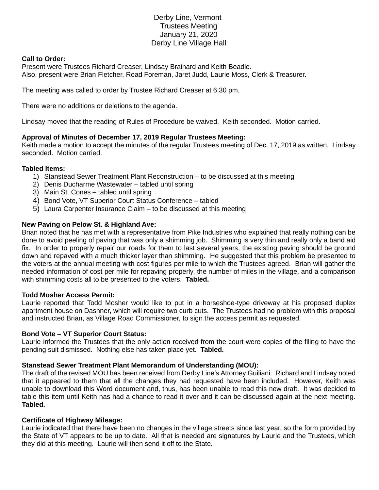# Derby Line, Vermont Trustees Meeting January 21, 2020 Derby Line Village Hall

## **Call to Order:**

Present were Trustees Richard Creaser, Lindsay Brainard and Keith Beadle. Also, present were Brian Fletcher, Road Foreman, Jaret Judd, Laurie Moss, Clerk & Treasurer.

The meeting was called to order by Trustee Richard Creaser at 6:30 pm.

There were no additions or deletions to the agenda.

Lindsay moved that the reading of Rules of Procedure be waived. Keith seconded. Motion carried.

## **Approval of Minutes of December 17, 2019 Regular Trustees Meeting:**

Keith made a motion to accept the minutes of the regular Trustees meeting of Dec. 17, 2019 as written. Lindsay seconded. Motion carried.

## **Tabled Items:**

- 1) Stanstead Sewer Treatment Plant Reconstruction to be discussed at this meeting
- 2) Denis Ducharme Wastewater tabled until spring
- 3) Main St. Cones tabled until spring
- 4) Bond Vote, VT Superior Court Status Conference tabled
- 5) Laura Carpenter Insurance Claim to be discussed at this meeting

## **New Paving on Pelow St. & Highland Ave:**

Brian noted that he has met with a representative from Pike Industries who explained that really nothing can be done to avoid peeling of paving that was only a shimming job. Shimming is very thin and really only a band aid fix. In order to properly repair our roads for them to last several years, the existing paving should be ground down and repaved with a much thicker layer than shimming. He suggested that this problem be presented to the voters at the annual meeting with cost figures per mile to which the Trustees agreed. Brian will gather the needed information of cost per mile for repaving properly, the number of miles in the village, and a comparison with shimming costs all to be presented to the voters. **Tabled.**

#### **Todd Mosher Access Permit:**

Laurie reported that Todd Mosher would like to put in a horseshoe-type driveway at his proposed duplex apartment house on Dashner, which will require two curb cuts. The Trustees had no problem with this proposal and instructed Brian, as Village Road Commissioner, to sign the access permit as requested.

#### **Bond Vote – VT Superior Court Status:**

Laurie informed the Trustees that the only action received from the court were copies of the filing to have the pending suit dismissed. Nothing else has taken place yet. **Tabled.**

#### **Stanstead Sewer Treatment Plant Memorandum of Understanding (MOU):**

The draft of the revised MOU has been received from Derby Line's Attorney Guiliani. Richard and Lindsay noted that it appeared to them that all the changes they had requested have been included. However, Keith was unable to download this Word document and, thus, has been unable to read this new draft. It was decided to table this item until Keith has had a chance to read it over and it can be discussed again at the next meeting. **Tabled.**

#### **Certificate of Highway Mileage:**

Laurie indicated that there have been no changes in the village streets since last year, so the form provided by the State of VT appears to be up to date. All that is needed are signatures by Laurie and the Trustees, which they did at this meeting. Laurie will then send it off to the State.